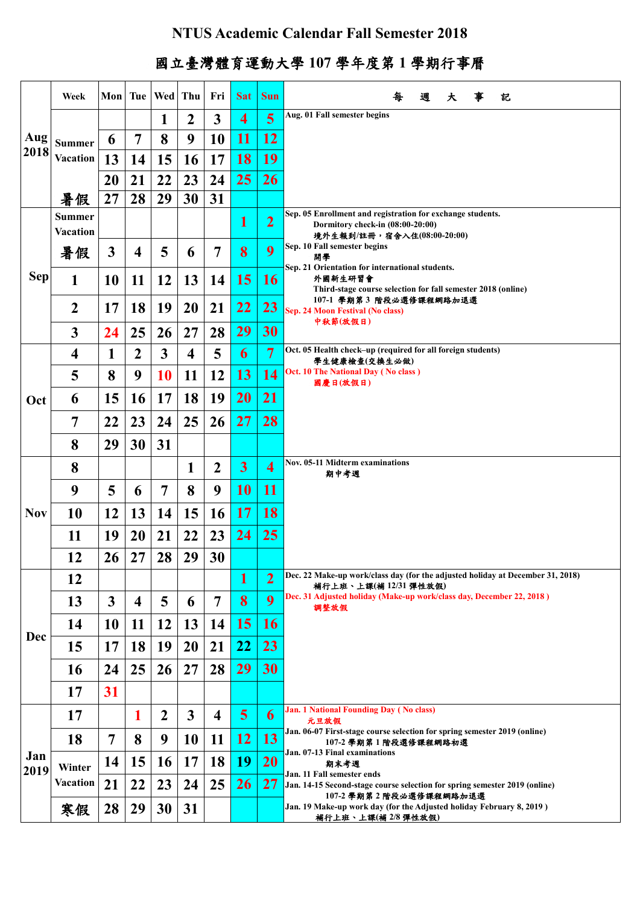## **NTUS Academic Calendar Fall Semester 2018**

## 國立臺灣體育運動大學 **107** 學年度第 **1** 學期行事曆

|                          | Week                             | Mon            |                         | Tue   Wed               | Thu                     | Fri                     | <b>Sat</b>              | <b>Sun</b>              | 週<br>記<br>大                                                                                                                        |
|--------------------------|----------------------------------|----------------|-------------------------|-------------------------|-------------------------|-------------------------|-------------------------|-------------------------|------------------------------------------------------------------------------------------------------------------------------------|
| Aug <sup>1</sup><br>2018 |                                  |                |                         | 1                       | 2                       | $\mathbf{3}$            | $\overline{\mathbf{4}}$ | 5                       | Aug. 01 Fall semester begins                                                                                                       |
|                          | <b>Summer</b>                    | 6              | $\overline{7}$          | 8                       | 9                       | 10                      | 11                      | 12                      |                                                                                                                                    |
|                          | <b>Vacation</b>                  | 13             | 14                      | 15                      | <b>16</b>               | 17                      | <b>18</b>               | <b>19</b>               |                                                                                                                                    |
|                          |                                  | 20             | 21                      | 22                      | 23                      | 24                      | 25                      | 26                      |                                                                                                                                    |
|                          | 暑假                               | 27             | 28                      | 29                      | 30                      | 31                      |                         |                         |                                                                                                                                    |
| <b>Sep</b>               | <b>Summer</b><br><b>Vacation</b> |                |                         |                         |                         |                         | 1                       | $\overline{2}$          | Sep. 05 Enrollment and registration for exchange students.<br>Dormitory check-in (08:00-20:00)<br>境外生報到/註冊,宿舍入住(08:00-20:00)       |
|                          | 暑假                               | $\mathbf{3}$   | $\boldsymbol{4}$        | 5                       | 6                       | $\overline{7}$          | 8                       | 9                       | Sep. 10 Fall semester begins<br>開學                                                                                                 |
|                          | 1                                | 10             | 11                      | 12                      | 13                      | 14                      | 15                      | <b>16</b>               | Sep. 21 Orientation for international students.<br>外國新生研習會<br>Third-stage course selection for fall semester 2018 (online)         |
|                          | $\overline{2}$                   | 17             | 18                      | 19                      | 20                      | 21                      | 22                      | 23                      | 107-1 學期第3 階段必選修課程網路加退選<br>Sep. 24 Moon Festival (No class)                                                                        |
|                          | $\mathbf{3}$                     | 24             | 25                      | 26                      | 27                      | 28                      | 29                      | 30                      | 中秋節(放假日)                                                                                                                           |
| Oct                      | $\overline{\mathbf{4}}$          | 1              | $\overline{2}$          | $\overline{\mathbf{3}}$ | $\overline{\mathbf{4}}$ | 5                       | 6                       | 7                       | Oct. 05 Health check-up (required for all foreign students)<br>學生健康檢查(交換生必做)                                                       |
|                          | 5                                | 8              | 9                       | <b>10</b>               | 11                      | 12                      | 13                      | 14                      | Oct. 10 The National Day (No class)<br>國慶日(放假日)                                                                                    |
|                          | 6                                | 15             | <b>16</b>               | 17                      | 18                      | 19                      | <b>20</b>               | <b>21</b>               |                                                                                                                                    |
|                          | $\overline{7}$                   | 22             | 23                      | 24                      | 25                      | 26                      | 27                      | 28                      |                                                                                                                                    |
|                          | 8                                | 29             | 30                      | 31                      |                         |                         |                         |                         |                                                                                                                                    |
|                          | 8                                |                |                         |                         | 1                       | $\overline{2}$          | 3 <sup>1</sup>          | $\overline{\mathbf{4}}$ | <b>Nov. 05-11 Midterm examinations</b><br>期中考週                                                                                     |
|                          | 9                                | 5              | 6                       | 7                       | 8                       | 9                       | <b>10</b>               | 11                      |                                                                                                                                    |
| Nov                      | 10                               | 12             | 13                      | 14                      | 15                      | 16                      | 17                      | 18                      |                                                                                                                                    |
|                          | 11                               | 19             | 20                      | 21                      | 22                      | 23                      | 24                      | 25                      |                                                                                                                                    |
|                          | 12                               | 26             | 27                      | 28                      | 29                      | 30                      |                         |                         |                                                                                                                                    |
|                          | 12                               |                |                         |                         |                         |                         | 1                       | $\overline{2}$          | Dec. 22 Make-up work/class day (for the adjusted holiday at December 31, 2018)<br>補行上班、上課(補12/31 彈性放假)                             |
|                          | 13                               | $\overline{3}$ | $\overline{\mathbf{4}}$ | 5                       | 6                       | $\overline{7}$          | 8                       | 9                       | Dec. 31 Adjusted holiday (Make-up work/class day, December 22, 2018)<br>調整放假                                                       |
|                          | 14                               | 10             | 11                      | 12                      | 13                      | 14                      | 15                      | <b>16</b>               |                                                                                                                                    |
| <b>Dec</b>               | 15                               | 17             | 18                      | 19                      | 20                      | 21                      | 22                      | 23                      |                                                                                                                                    |
|                          | 16                               | 24             | 25                      | 26                      | 27                      | 28                      | 29                      | 30                      |                                                                                                                                    |
|                          | 17                               | 31             |                         |                         |                         |                         |                         |                         |                                                                                                                                    |
| Jan<br>2019              | <b>17</b>                        |                | 1                       | $\overline{2}$          | $\mathbf{3}$            | $\overline{\mathbf{4}}$ | $\overline{\mathbf{5}}$ | 6                       | <b>Jan. 1 National Founding Day (No class)</b><br>元旦放假                                                                             |
|                          | 18                               | 7              | 8                       | 9                       | 10                      | 11                      | <b>12</b>               | 13                      | Jan. 06-07 First-stage course selection for spring semester 2019 (online)<br>107-2 學期第1階段選修課程網路初選                                  |
|                          | Winter                           | <b>14</b>      | 15                      | <b>16</b>               | 17                      | 18                      | <b>19</b>               | <b>20</b>               | Jan. 07-13 Final examinations<br>期末考週                                                                                              |
|                          | Vacation                         | 21             | 22                      | 23                      | 24                      | 25                      | 26                      | 27                      | Jan. 11 Fall semester ends<br>Jan. 14-15 Second-stage course selection for spring semester 2019 (online)<br>107-2 學期第2階段必選修課程網路加退選 |
|                          | 寒假                               | 28             | 29                      | 30                      | 31                      |                         |                         |                         | Jan. 19 Make-up work day (for the Adjusted holiday February 8, 2019)<br>補行上班、上課(補 2/8 彈性放假)                                        |